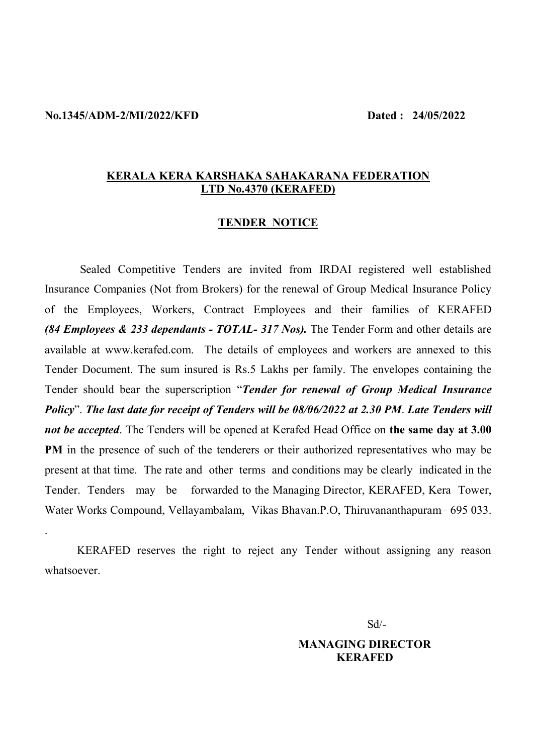#### **No.1345/ADM-2/MI/2022/KFD Dated : 24/05/2022**

.

#### **KERALA KERA KARSHAKA SAHAKARANA FEDERATION LTD No.4370 (KERAFED)**

#### **TENDER NOTICE**

Sealed Competitive Tenders are invited from IRDAI registered well established Insurance Companies (Not from Brokers) for the renewal of Group Medical Insurance Policy of the Employees, Workers, Contract Employees and their families of KERAFED *(84 Employees & 233 dependants - TOTAL- 317 Nos).* The Tender Form and other details are available at www.kerafed.com. The details of employees and workers are annexed to this Tender Document. The sum insured is Rs.5 Lakhs per family. The envelopes containing the Tender should bear the superscription "*Tender for renewal of Group Medical Insurance Policy*". *The last date for receipt of Tenders will be 08/06/2022 at 2.30 PM*. *Late Tenders will not be accepted*. The Tenders will be opened at Kerafed Head Office on **the same day at 3.00 PM** in the presence of such of the tenderers or their authorized representatives who may be present at that time. The rate and other terms and conditions may be clearly indicated in the Tender. Tenders may be forwarded to the Managing Director, KERAFED, Kera Tower, Water Works Compound, Vellayambalam, Vikas Bhavan.P.O, Thiruvananthapuram– 695 033.

KERAFED reserves the right to reject any Tender without assigning any reason whatsoever.

Sd/-

#### **MANAGING DIRECTOR KERAFED**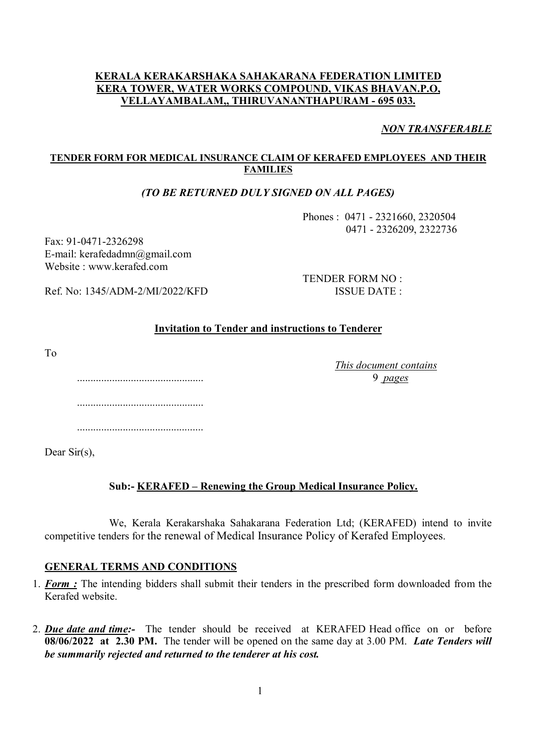#### **KERALA KERAKARSHAKA SAHAKARANA FEDERATION LIMITED KERA TOWER, WATER WORKS COMPOUND, VIKAS BHAVAN.P.O, VELLAYAMBALAM,, THIRUVANANTHAPURAM - 695 033.**

*NON TRANSFERABLE*

#### **TENDER FORM FOR MEDICAL INSURANCE CLAIM OF KERAFED EMPLOYEES AND THEIR FAMILIES**

#### *(TO BE RETURNED DULY SIGNED ON ALL PAGES)*

Phones : 0471 - 2321660, 2320504 0471 - 2326209, 2322736

Fax: 91-0471-2326298 E-mail: kerafedadmn@gmail.com Website : www.kerafed.com

TENDER FORM NO : Ref. No: 1345/ADM-2/MI/2022/KFD ISSUE DATE :

#### **Invitation to Tender and instructions to Tenderer**

To

*This document contains* 

............................................... 9 *pages* ............................................... ...............................................

Dear Sir(s).

#### **Sub:- KERAFED – Renewing the Group Medical Insurance Policy.**

We, Kerala Kerakarshaka Sahakarana Federation Ltd; (KERAFED) intend to invite competitive tenders for the renewal of Medical Insurance Policy of Kerafed Employees.

#### **GENERAL TERMS AND CONDITIONS**

- 1. *Form :* The intending bidders shall submit their tenders in the prescribed form downloaded from the Kerafed website.
- 2. *Due date and time:-* The tender should be received at KERAFED Head office on or before **08/06/2022 at 2.30 PM.** The tender will be opened on the same day at 3.00 PM. *Late Tenders will be summarily rejected and returned to the tenderer at his cost.*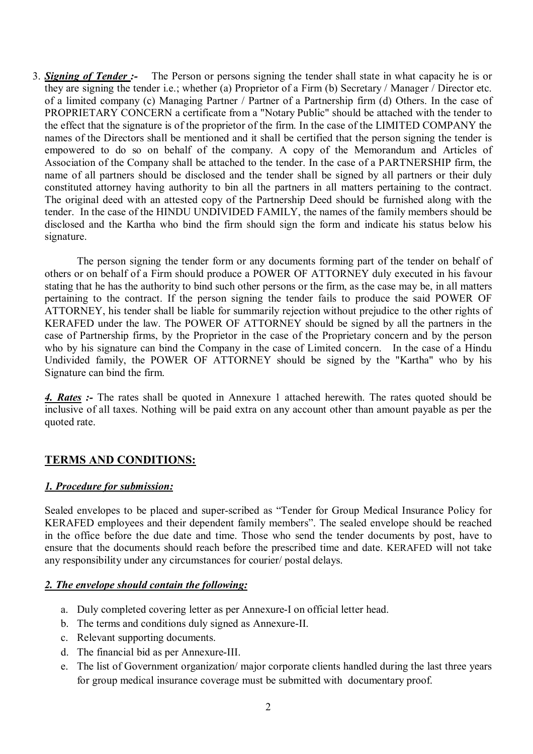3. *Signing of Tender :-* The Person or persons signing the tender shall state in what capacity he is or they are signing the tender i.e.; whether (a) Proprietor of a Firm (b) Secretary / Manager / Director etc. of a limited company (c) Managing Partner / Partner of a Partnership firm (d) Others. In the case of PROPRIETARY CONCERN a certificate from a "Notary Public" should be attached with the tender to the effect that the signature is of the proprietor of the firm. In the case of the LIMITED COMPANY the names of the Directors shall be mentioned and it shall be certified that the person signing the tender is empowered to do so on behalf of the company. A copy of the Memorandum and Articles of Association of the Company shall be attached to the tender. In the case of a PARTNERSHIP firm, the name of all partners should be disclosed and the tender shall be signed by all partners or their duly constituted attorney having authority to bin all the partners in all matters pertaining to the contract. The original deed with an attested copy of the Partnership Deed should be furnished along with the tender. In the case of the HINDU UNDIVIDED FAMILY, the names of the family members should be disclosed and the Kartha who bind the firm should sign the form and indicate his status below his signature.

The person signing the tender form or any documents forming part of the tender on behalf of others or on behalf of a Firm should produce a POWER OF ATTORNEY duly executed in his favour stating that he has the authority to bind such other persons or the firm, as the case may be, in all matters pertaining to the contract. If the person signing the tender fails to produce the said POWER OF ATTORNEY, his tender shall be liable for summarily rejection without prejudice to the other rights of KERAFED under the law. The POWER OF ATTORNEY should be signed by all the partners in the case of Partnership firms, by the Proprietor in the case of the Proprietary concern and by the person who by his signature can bind the Company in the case of Limited concern. In the case of a Hindu Undivided family, the POWER OF ATTORNEY should be signed by the "Kartha" who by his Signature can bind the firm.

*4. Rates :-* The rates shall be quoted in Annexure 1 attached herewith. The rates quoted should be inclusive of all taxes. Nothing will be paid extra on any account other than amount payable as per the quoted rate.

## **TERMS AND CONDITIONS:**

#### *1. Procedure for submission:*

Sealed envelopes to be placed and super-scribed as "Tender for Group Medical Insurance Policy for KERAFED employees and their dependent family members". The sealed envelope should be reached in the office before the due date and time. Those who send the tender documents by post, have to ensure that the documents should reach before the prescribed time and date. KERAFED will not take any responsibility under any circumstances for courier/ postal delays.

#### *2. The envelope should contain the following:*

- a. Duly completed covering letter as per Annexure-I on official letter head.
- b. The terms and conditions duly signed as Annexure-II.
- c. Relevant supporting documents.
- d. The financial bid as per Annexure-III.
- e. The list of Government organization/ major corporate clients handled during the last three years for group medical insurance coverage must be submitted with documentary proof.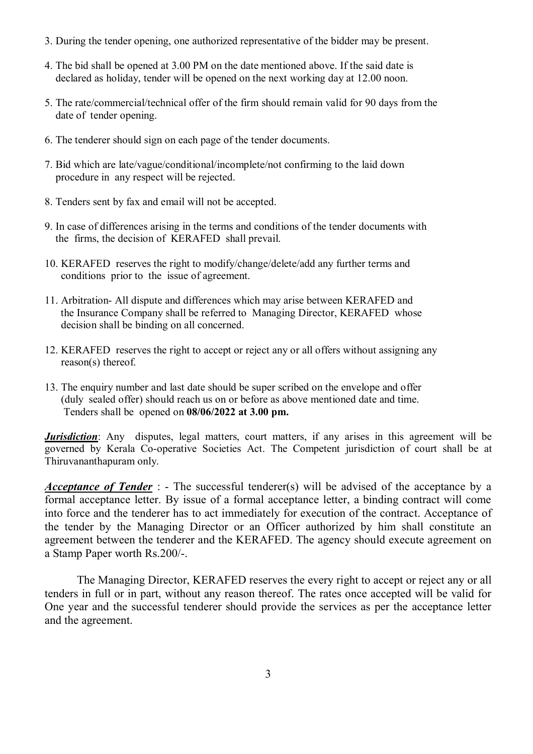- 3. During the tender opening, one authorized representative of the bidder may be present.
- 4. The bid shall be opened at 3.00 PM on the date mentioned above. If the said date is declared as holiday, tender will be opened on the next working day at 12.00 noon.
- 5. The rate/commercial/technical offer of the firm should remain valid for 90 days from the date of tender opening.
- 6. The tenderer should sign on each page of the tender documents.
- 7. Bid which are late/vague/conditional/incomplete/not confirming to the laid down procedure in any respect will be rejected.
- 8. Tenders sent by fax and email will not be accepted.
- 9. In case of differences arising in the terms and conditions of the tender documents with the firms, the decision of KERAFED shall prevail.
- 10. KERAFED reserves the right to modify/change/delete/add any further terms and conditions prior to the issue of agreement.
- 11. Arbitration- All dispute and differences which may arise between KERAFED and the Insurance Company shall be referred to Managing Director, KERAFED whose decision shall be binding on all concerned.
- 12. KERAFED reserves the right to accept or reject any or all offers without assigning any reason(s) thereof.
- 13. The enquiry number and last date should be super scribed on the envelope and offer (duly sealed offer) should reach us on or before as above mentioned date and time. Tenders shall be opened on **08/06/2022 at 3.00 pm.**

*Jurisdiction*: Any disputes, legal matters, court matters, if any arises in this agreement will be governed by Kerala Co-operative Societies Act. The Competent jurisdiction of court shall be at Thiruvananthapuram only.

*Acceptance of Tender* : - The successful tenderer(s) will be advised of the acceptance by a formal acceptance letter. By issue of a formal acceptance letter, a binding contract will come into force and the tenderer has to act immediately for execution of the contract. Acceptance of the tender by the Managing Director or an Officer authorized by him shall constitute an agreement between the tenderer and the KERAFED. The agency should execute agreement on a Stamp Paper worth Rs.200/-.

The Managing Director, KERAFED reserves the every right to accept or reject any or all tenders in full or in part, without any reason thereof. The rates once accepted will be valid for One year and the successful tenderer should provide the services as per the acceptance letter and the agreement.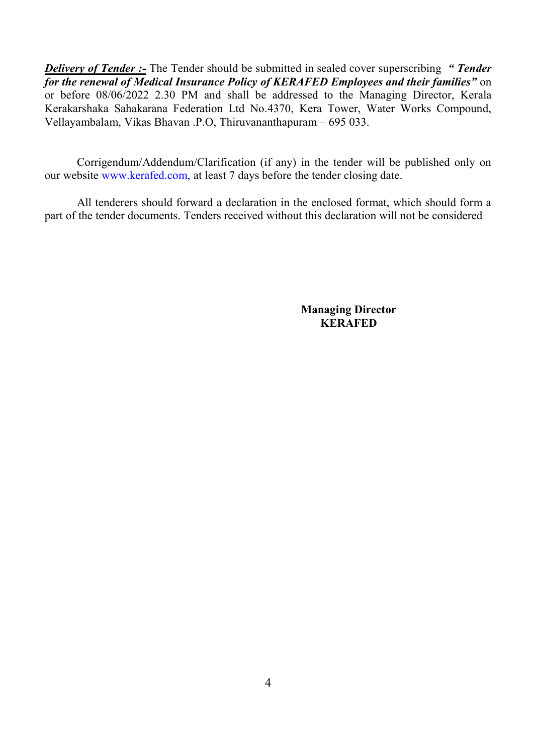*Delivery of Tender :-* The Tender should be submitted in sealed cover superscribing *" Tender for the renewal of Medical Insurance Policy of KERAFED Employees and their families"* on or before 08/06/2022 2.30 PM and shall be addressed to the Managing Director, Kerala Kerakarshaka Sahakarana Federation Ltd No.4370, Kera Tower, Water Works Compound, Vellayambalam, Vikas Bhavan .P.O, Thiruvananthapuram – 695 033.

Corrigendum/Addendum/Clarification (if any) in the tender will be published only on our website www.kerafed.com, at least 7 days before the tender closing date.

All tenderers should forward a declaration in the enclosed format, which should form a part of the tender documents. Tenders received without this declaration will not be considered

> **Managing Director KERAFED**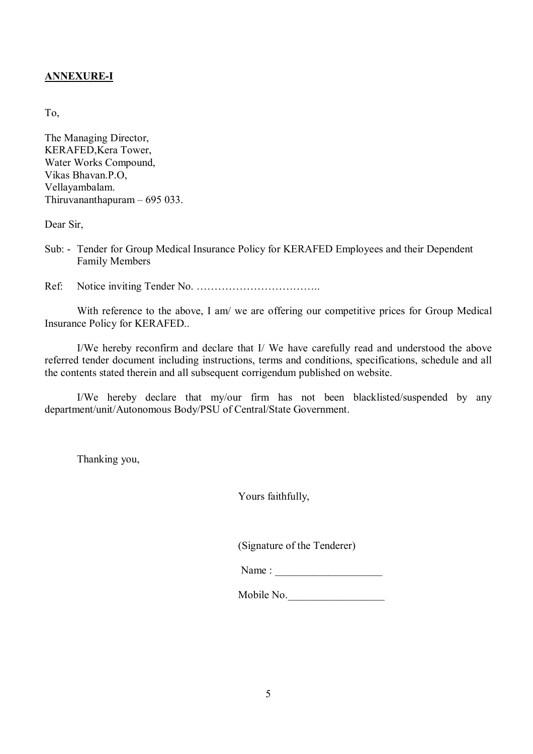#### **ANNEXURE-I**

To,

The Managing Director, KERAFED,Kera Tower, Water Works Compound, Vikas Bhavan.P.O, Vellayambalam. Thiruvananthapuram – 695 033.

Dear Sir,

Sub: - Tender for Group Medical Insurance Policy for KERAFED Employees and their Dependent Family Members

Ref: Notice inviting Tender No. ……………………………..

With reference to the above, I am/ we are offering our competitive prices for Group Medical Insurance Policy for KERAFED..

I/We hereby reconfirm and declare that I/ We have carefully read and understood the above referred tender document including instructions, terms and conditions, specifications, schedule and all the contents stated therein and all subsequent corrigendum published on website.

I/We hereby declare that my/our firm has not been blacklisted/suspended by any department/unit/Autonomous Body/PSU of Central/State Government.

Thanking you,

Yours faithfully,

(Signature of the Tenderer)

| Name: |  |
|-------|--|
|       |  |

Mobile No.\_\_\_\_\_\_\_\_\_\_\_\_\_\_\_\_\_\_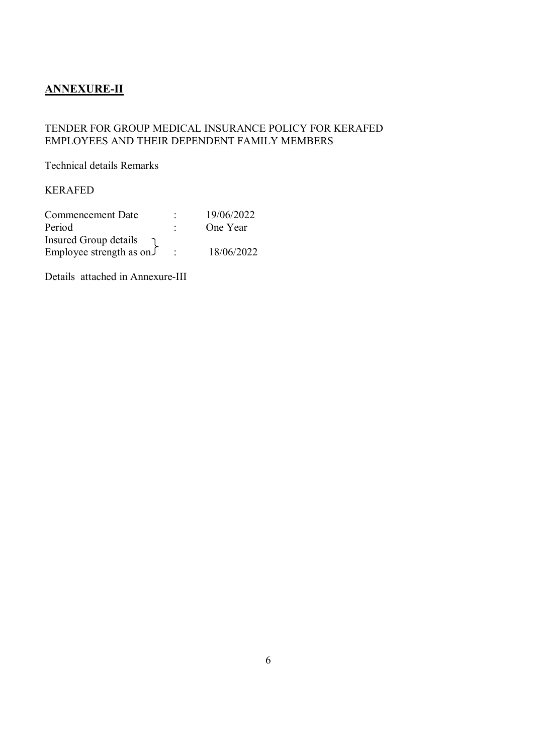## **ANNEXURE-II**

#### TENDER FOR GROUP MEDICAL INSURANCE POLICY FOR KERAFED EMPLOYEES AND THEIR DEPENDENT FAMILY MEMBERS

Technical details Remarks

KERAFED

| Commencement Date                   |         | 19/06/2022 |
|-------------------------------------|---------|------------|
| Period                              | ٠       | One Year   |
| Insured Group details               |         |            |
| Employee strength as on $\sqrt{\ }$ | $\cdot$ | 18/06/2022 |

Details attached in Annexure-III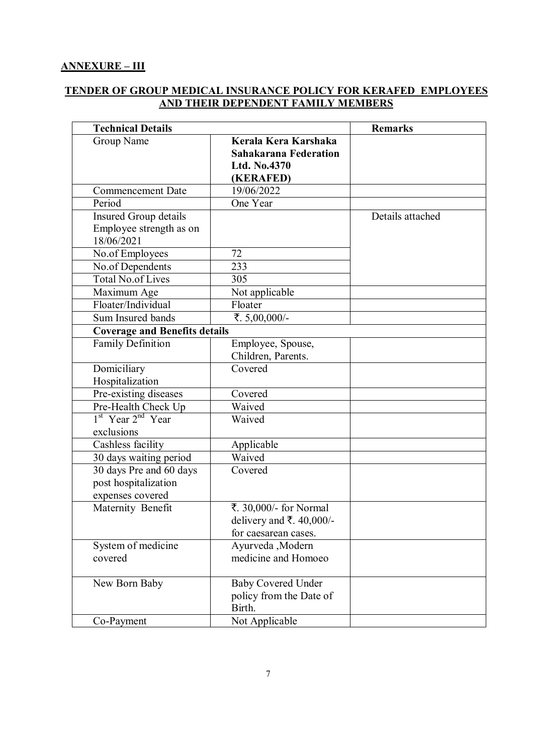#### **ANNEXURE – III**

#### **TENDER OF GROUP MEDICAL INSURANCE POLICY FOR KERAFED EMPLOYEES AND THEIR DEPENDENT FAMILY MEMBERS**

| <b>Technical Details</b>                                            |                                                                                   | <b>Remarks</b>   |
|---------------------------------------------------------------------|-----------------------------------------------------------------------------------|------------------|
| Group Name                                                          | Kerala Kera Karshaka<br><b>Sahakarana Federation</b><br>Ltd. No.4370<br>(KERAFED) |                  |
| <b>Commencement Date</b>                                            | 19/06/2022                                                                        |                  |
| Period                                                              | One Year                                                                          |                  |
| Insured Group details<br>Employee strength as on<br>18/06/2021      |                                                                                   | Details attached |
| No.of Employees                                                     | 72                                                                                |                  |
| No.of Dependents                                                    | 233                                                                               |                  |
| <b>Total No.of Lives</b>                                            | 305                                                                               |                  |
| Maximum Age                                                         | Not applicable                                                                    |                  |
| Floater/Individual                                                  | Floater                                                                           |                  |
| Sum Insured bands                                                   | ₹.5,00,000/-                                                                      |                  |
| <b>Coverage and Benefits details</b>                                |                                                                                   |                  |
| <b>Family Definition</b>                                            | Employee, Spouse,<br>Children, Parents.                                           |                  |
| Domiciliary<br>Hospitalization                                      | Covered                                                                           |                  |
| Pre-existing diseases                                               | Covered                                                                           |                  |
| Pre-Health Check Up                                                 | Waived                                                                            |                  |
| 1 <sup>st</sup> Year 2 <sup>nd</sup> Year<br>exclusions             | Waived                                                                            |                  |
| Cashless facility                                                   | Applicable                                                                        |                  |
| 30 days waiting period                                              | Waived                                                                            |                  |
| 30 days Pre and 60 days<br>post hospitalization<br>expenses covered | Covered                                                                           |                  |
| Maternity Benefit                                                   | ₹. 30,000/- for Normal<br>delivery and ₹. 40,000/-<br>for caesarean cases.        |                  |
| System of medicine<br>covered                                       | Ayurveda, Modern<br>medicine and Homoeo                                           |                  |
| New Born Baby                                                       | <b>Baby Covered Under</b><br>policy from the Date of<br>Birth.                    |                  |
| Co-Payment                                                          | Not Applicable                                                                    |                  |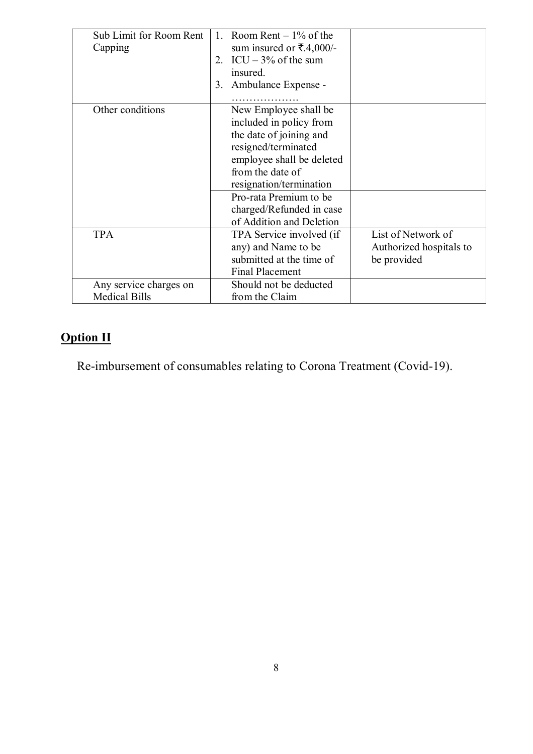| Sub Limit for Room Rent<br>Capping             | Room Rent $-1\%$ of the<br>$\mathbf{1}$<br>sum insured or ₹.4,000/-<br>2. ICU $-3\%$ of the sum<br>insured.<br>Ambulance Expense -<br>3.                                                                 |                                                              |
|------------------------------------------------|----------------------------------------------------------------------------------------------------------------------------------------------------------------------------------------------------------|--------------------------------------------------------------|
| Other conditions                               | New Employee shall be<br>included in policy from<br>the date of joining and<br>resigned/terminated<br>employee shall be deleted<br>from the date of<br>resignation/termination<br>Pro-rata Premium to be |                                                              |
|                                                | charged/Refunded in case<br>of Addition and Deletion                                                                                                                                                     |                                                              |
| <b>TPA</b>                                     | TPA Service involved (if<br>any) and Name to be<br>submitted at the time of<br><b>Final Placement</b>                                                                                                    | List of Network of<br>Authorized hospitals to<br>be provided |
| Any service charges on<br><b>Medical Bills</b> | Should not be deducted<br>from the Claim                                                                                                                                                                 |                                                              |

# **Option II**

Re-imbursement of consumables relating to Corona Treatment (Covid-19).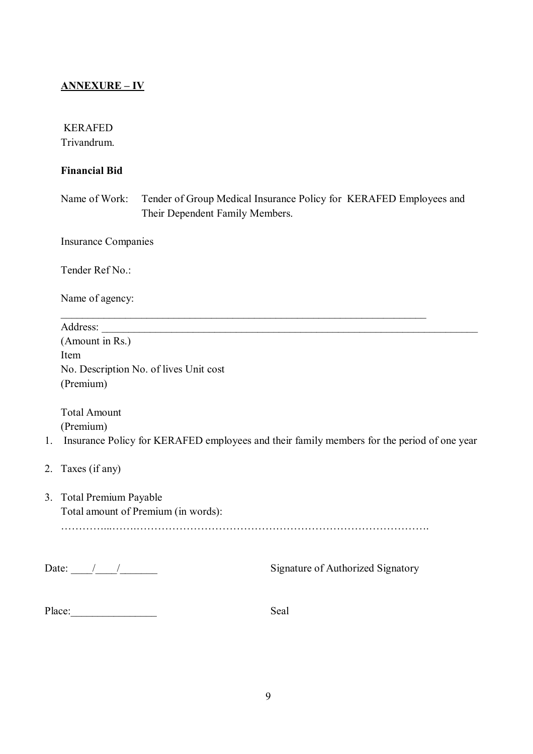### **ANNEXURE – IV**

#### KERAFED

Trivandrum.

#### **Financial Bid**

Name of Work: Tender of Group Medical Insurance Policy for KERAFED Employees and Their Dependent Family Members.

Insurance Companies

Tender Ref No.:

Name of agency:

|    | Address:                                                                                   |
|----|--------------------------------------------------------------------------------------------|
|    | (Amount in Rs.)                                                                            |
|    | Item                                                                                       |
|    | No. Description No. of lives Unit cost                                                     |
|    | (Premium)                                                                                  |
|    | <b>Total Amount</b>                                                                        |
|    | (Premium)                                                                                  |
| 1. | Insurance Policy for KERAFED employees and their family members for the period of one year |
|    | 2. Taxes (if any)                                                                          |
|    | 3. Total Premium Payable                                                                   |
|    | Total amount of Premium (in words):                                                        |
|    |                                                                                            |
|    | Date: $/$ /<br><b>Signature of Authorized Signatory</b>                                    |

| Place: | Seal |
|--------|------|
|        |      |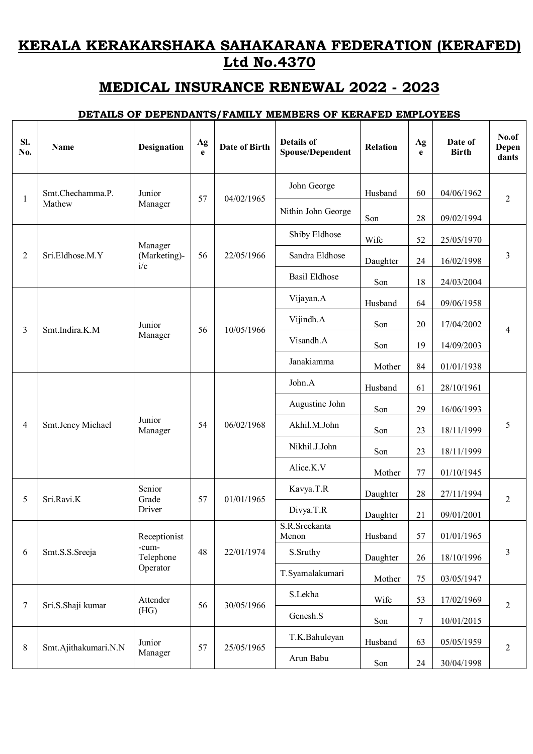# **KERALA KERAKARSHAKA SAHAKARANA FEDERATION (KERAFED) Ltd No.4370**

# **MEDICAL INSURANCE RENEWAL 2022 - 2023**

#### **DETAILS OF DEPENDANTS/FAMILY MEMBERS OF KERAFED EMPLOYEES**

| SI.<br>No.   | Name                 | Designation         | Ag<br>e | <b>Date of Birth</b> | <b>Details of</b><br><b>Spouse/Dependent</b> | <b>Relation</b> | Ag<br>e | Date of<br><b>Birth</b> | No.of<br>Depen<br>dants |    |            |
|--------------|----------------------|---------------------|---------|----------------------|----------------------------------------------|-----------------|---------|-------------------------|-------------------------|----|------------|
| $\mathbf{1}$ | Smt.Chechamma.P.     | Junior              | 57      | 04/02/1965           | John George                                  | Husband         | 60      | 04/06/1962              | $\overline{2}$          |    |            |
|              | Mathew               | Manager             |         |                      | Nithin John George                           | Son             | 28      | 09/02/1994              |                         |    |            |
|              |                      | Manager             |         |                      | Shiby Eldhose                                | Wife            | 52      | 25/05/1970              |                         |    |            |
| 2            | Sri.Eldhose.M.Y      | (Marketing)-<br>i/c | 56      | 22/05/1966           | Sandra Eldhose                               | Daughter        | 24      | 16/02/1998              | 3                       |    |            |
|              |                      |                     |         |                      | <b>Basil Eldhose</b>                         | Son             | 18      | 24/03/2004              |                         |    |            |
|              |                      |                     |         |                      | Vijayan.A                                    | Husband         | 64      | 09/06/1958              |                         |    |            |
| 3            | Smt.Indira.K.M       | Junior              | 56      | 10/05/1966           | Vijindh.A                                    | Son             | 20      | 17/04/2002              | 4                       |    |            |
|              |                      | Manager             |         |                      | Visandh.A                                    | Son             | 19      | 14/09/2003              |                         |    |            |
|              |                      |                     |         |                      | Janakiamma                                   | Mother          | 84      | 01/01/1938              |                         |    |            |
|              | Smt.Jency Michael    | Junior<br>Manager   |         | 06/02/1968           | John.A                                       | Husband         | 61      | 28/10/1961              |                         |    |            |
|              |                      |                     |         |                      | Augustine John                               | Son             | 29      | 16/06/1993              |                         |    |            |
| 4            |                      |                     | 54      |                      | Akhil.M.John                                 | Son             | 23      | 18/11/1999              | 5                       |    |            |
|              |                      |                     |         |                      | Nikhil.J.John                                | Son             | 23      | 18/11/1999              |                         |    |            |
|              |                      |                     |         |                      | Alice.K.V                                    | Mother          | 77      | 01/10/1945              |                         |    |            |
| 5            | Sri.Ravi.K           | Senior<br>Grade     | 57      | 01/01/1965           | Kavya.T.R                                    | Daughter        | 28      | 27/11/1994              | $\overline{2}$          |    |            |
|              |                      | Driver              |         |                      |                                              |                 |         | Divya.T.R               | Daughter                | 21 | 09/01/2001 |
|              |                      | Receptionist        |         |                      | S.R.Sreekanta<br>Menon                       | Husband         | 57      | 01/01/1965              |                         |    |            |
| 6            | Smt.S.S.Sreeja       | -cum-<br>Telephone  | 48      | 22/01/1974           | S.Sruthy                                     | Daughter        | 26      | 18/10/1996              | $\mathfrak{Z}$          |    |            |
|              |                      | Operator            |         |                      | T.Syamalakumari                              | Mother          | 75      | 03/05/1947              |                         |    |            |
| 7            | Sri.S.Shaji kumar    | Attender            | 56      | 30/05/1966           | S.Lekha                                      | Wife            | 53      | 17/02/1969              | 2                       |    |            |
|              |                      | (HG)                |         |                      | Genesh.S                                     | Son             | 7       | 10/01/2015              |                         |    |            |
| $8\,$        | Smt.Ajithakumari.N.N | Junior              | 57      | 25/05/1965           | T.K.Bahuleyan                                | Husband         | 63      | 05/05/1959              | $\overline{2}$          |    |            |
|              | Manager              |                     |         |                      |                                              | Arun Babu       | Son     | 24                      | 30/04/1998              |    |            |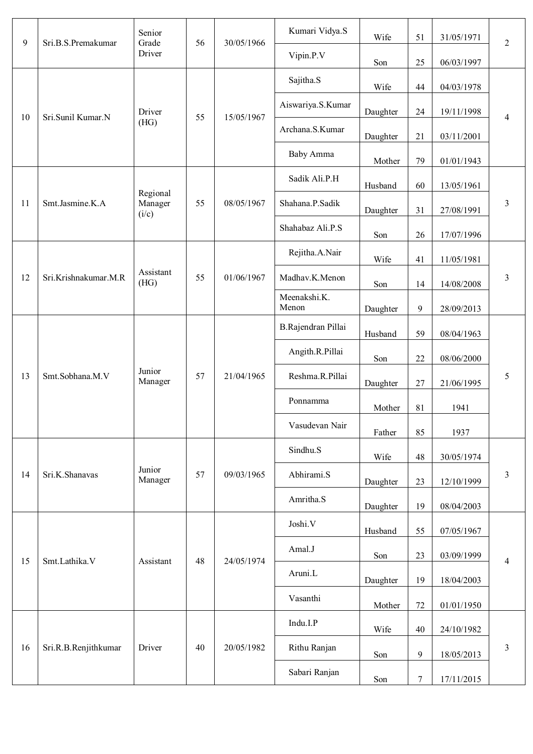| 9  | Sri.B.S.Premakumar   | Senior<br>Grade              | 56 | 30/05/1966 | Kumari Vidya.S        | Wife     | 51               | 31/05/1971 | $\overline{2}$ |        |                   |          |    |            |   |
|----|----------------------|------------------------------|----|------------|-----------------------|----------|------------------|------------|----------------|--------|-------------------|----------|----|------------|---|
|    |                      | Driver                       |    |            | Vipin.P.V             | Son      | 25               | 06/03/1997 |                |        |                   |          |    |            |   |
|    |                      |                              |    |            | Sajitha.S             | Wife     | 44               | 04/03/1978 |                |        |                   |          |    |            |   |
| 10 | Sri.Sunil Kumar.N    | Driver                       |    |            |                       |          | 55<br>15/05/1967 |            |                |        | Aiswariya.S.Kumar | Daughter | 24 | 19/11/1998 | 4 |
|    |                      | (HG)                         |    |            | Archana.S.Kumar       | Daughter | 21               | 03/11/2001 |                |        |                   |          |    |            |   |
|    |                      |                              |    |            | <b>Baby Amma</b>      | Mother   | 79               | 01/01/1943 |                |        |                   |          |    |            |   |
|    |                      |                              |    |            | Sadik Ali.P.H         | Husband  | 60               | 13/05/1961 |                |        |                   |          |    |            |   |
| 11 | Smt.Jasmine.K.A      | Regional<br>Manager<br>(i/c) | 55 | 08/05/1967 | Shahana.P.Sadik       | Daughter | 31               | 27/08/1991 | $\mathfrak{Z}$ |        |                   |          |    |            |   |
|    |                      |                              |    |            | Shahabaz Ali.P.S      | Son      | $26\,$           | 17/07/1996 |                |        |                   |          |    |            |   |
|    |                      |                              |    |            | Rejitha.A.Nair        | Wife     | 41               | 11/05/1981 |                |        |                   |          |    |            |   |
| 12 | Sri.Krishnakumar.M.R | Assistant<br>(HG)            | 55 | 01/06/1967 | Madhav.K.Menon        | Son      | 14               | 14/08/2008 | 3              |        |                   |          |    |            |   |
|    |                      |                              |    |            | Meenakshi.K.<br>Menon | Daughter | 9                | 28/09/2013 |                |        |                   |          |    |            |   |
|    | Smt.Sobhana.M.V      |                              |    |            | B.Rajendran Pillai    | Husband  | 59               | 08/04/1963 |                |        |                   |          |    |            |   |
|    |                      |                              |    |            | Angith.R.Pillai       | Son      | $22\,$           | 08/06/2000 |                |        |                   |          |    |            |   |
| 13 |                      | Junior<br>Manager            | 57 | 21/04/1965 | Reshma.R.Pillai       | Daughter | $27\,$           | 21/06/1995 | 5              |        |                   |          |    |            |   |
|    |                      |                              |    |            | Ponnamma              | Mother   | 81               | 1941       |                |        |                   |          |    |            |   |
|    |                      |                              |    |            | Vasudevan Nair        | Father   | 85               | 1937       |                |        |                   |          |    |            |   |
|    |                      |                              |    |            | Sindhu.S              | Wife     | 48               | 30/05/1974 |                |        |                   |          |    |            |   |
| 14 | Sri.K.Shanavas       | Junior<br>Manager            | 57 | 09/03/1965 |                       |          |                  | Abhirami.S | Daughter       | $23\,$ | 12/10/1999        | 3        |    |            |   |
|    |                      |                              |    |            | Amritha.S             | Daughter | 19               | 08/04/2003 |                |        |                   |          |    |            |   |
|    |                      |                              |    |            | Joshi.V               | Husband  | 55               | 07/05/1967 |                |        |                   |          |    |            |   |
| 15 | Smt.Lathika.V        | Assistant                    | 48 | 24/05/1974 | Amal.J                | Son      | 23               | 03/09/1999 | 4              |        |                   |          |    |            |   |
|    |                      |                              |    |            | Aruni.L               | Daughter | 19               | 18/04/2003 |                |        |                   |          |    |            |   |
|    |                      |                              |    |            | Vasanthi              | Mother   | $72\,$           | 01/01/1950 |                |        |                   |          |    |            |   |
|    |                      |                              |    |            | Indu.I.P              | Wife     | 40               | 24/10/1982 |                |        |                   |          |    |            |   |
| 16 | Sri.R.B.Renjithkumar | Driver                       | 40 | 20/05/1982 | Rithu Ranjan          | Son      | 9                | 18/05/2013 | $\mathfrak{Z}$ |        |                   |          |    |            |   |
|    |                      |                              |    |            | Sabari Ranjan         | Son      | $\tau$           | 17/11/2015 |                |        |                   |          |    |            |   |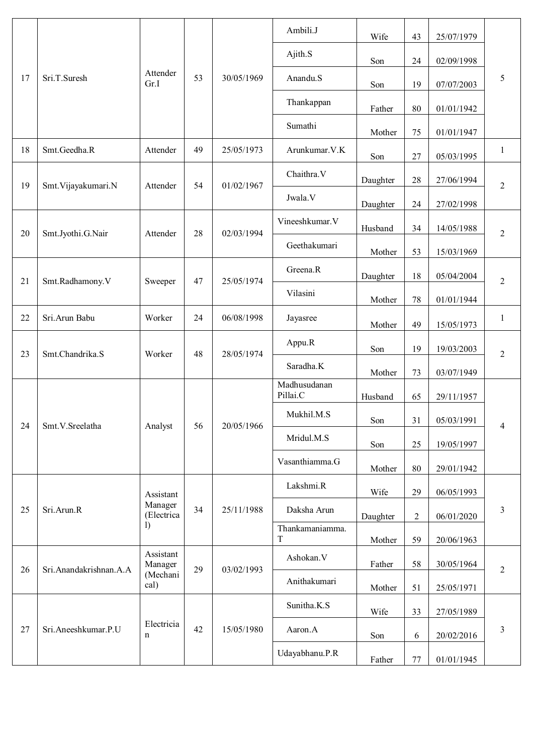|    |                        |                             |          |              | Ambili.J                 | Wife       | 43             | 25/07/1979     |              |            |            |        |            |                |
|----|------------------------|-----------------------------|----------|--------------|--------------------------|------------|----------------|----------------|--------------|------------|------------|--------|------------|----------------|
|    |                        |                             |          |              | Ajith.S                  | Son        | 24             | 02/09/1998     |              |            |            |        |            |                |
| 17 | Sri.T.Suresh           | Attender<br>Gr.I            | 53       | 30/05/1969   | Anandu.S                 | Son        | 19             | 07/07/2003     | 5            |            |            |        |            |                |
|    |                        |                             |          |              | Thankappan               | Father     | 80             | 01/01/1942     |              |            |            |        |            |                |
|    |                        |                             |          |              | Sumathi                  | Mother     | 75             | 01/01/1947     |              |            |            |        |            |                |
| 18 | Smt.Geedha.R           | Attender                    | 49       | 25/05/1973   | Arunkumar. V.K           | Son        | $27\,$         | 05/03/1995     | 1            |            |            |        |            |                |
| 19 | Smt. Vijayakumari.N    | Attender                    | 54       | 01/02/1967   | Chaithra.V               | Daughter   | 28             | 27/06/1994     | 2            |            |            |        |            |                |
|    |                        |                             |          |              | Jwala.V                  | Daughter   | 24             | 27/02/1998     |              |            |            |        |            |                |
| 20 | Smt.Jyothi.G.Nair      | Attender                    | 28       | 02/03/1994   | Vineeshkumar. V          | Husband    | 34             | 14/05/1988     | 2            |            |            |        |            |                |
|    |                        |                             |          | Geethakumari | Mother                   | 53         | 15/03/1969     |                |              |            |            |        |            |                |
| 21 | Smt.Radhamony.V        | 47<br>25/05/1974<br>Sweeper | Greena.R | Daughter     | 18                       | 05/04/2004 | 2              |                |              |            |            |        |            |                |
|    |                        |                             |          |              |                          |            |                |                |              |            | Vilasini   | Mother | 78         | 01/01/1944     |
| 22 | Sri.Arun Babu          | Worker                      | 24       | 06/08/1998   | Jayasree                 | Mother     | 49             | 15/05/1973     | $\mathbf{1}$ |            |            |        |            |                |
| 23 | Smt.Chandrika.S        | Worker                      | 48       | 28/05/1974   | Appu.R                   | Son        | 19             | 19/03/2003     | 2            |            |            |        |            |                |
|    |                        |                             |          |              | Saradha.K                | Mother     | 73             | 03/07/1949     |              |            |            |        |            |                |
|    |                        |                             |          |              | Madhusudanan<br>Pillai.C | Husband    | 65             | 29/11/1957     |              |            |            |        |            |                |
| 24 | Smt.V.Sreelatha        | Analyst                     |          | 56           |                          | 20/05/1966 |                |                |              | Mukhil.M.S | Son        | 31     | 05/03/1991 | $\overline{4}$ |
|    |                        |                             |          |              |                          |            |                |                |              |            | Mridul.M.S | Son    | 25         | 19/05/1997     |
|    |                        |                             |          |              |                          |            |                | Vasanthiamma.G | Mother       | 80         | 29/01/1942 |        |            |                |
|    |                        | Assistant                   |          |              | Lakshmi.R                | Wife       | 29             | 06/05/1993     |              |            |            |        |            |                |
| 25 | Sri.Arun.R             | Manager<br>(Electrica       | 34       | 25/11/1988   | Daksha Arun              | Daughter   | $\overline{2}$ | 06/01/2020     | 3            |            |            |        |            |                |
|    |                        | $\mathbf{I}$                |          |              | Thankamaniamma.<br>T     | Mother     | 59             | 20/06/1963     |              |            |            |        |            |                |
| 26 | Sri.Anandakrishnan.A.A | Assistant<br>Manager        | 29       | 03/02/1993   | Ashokan.V                | Father     | 58             | 30/05/1964     | 2            |            |            |        |            |                |
|    |                        | (Mechani<br>cal)            |          |              | Anithakumari             | Mother     | 51             | 25/05/1971     |              |            |            |        |            |                |
|    |                        |                             |          |              | Sunitha.K.S              | Wife       | 33             | 27/05/1989     |              |            |            |        |            |                |
| 27 | Sri.Aneeshkumar.P.U    | Electricia<br>n             | 42       | 15/05/1980   | Aaron.A                  | Son        | 6              | 20/02/2016     | 3            |            |            |        |            |                |
|    |                        |                             |          |              | Udayabhanu.P.R           | Father     | $77\,$         | 01/01/1945     |              |            |            |        |            |                |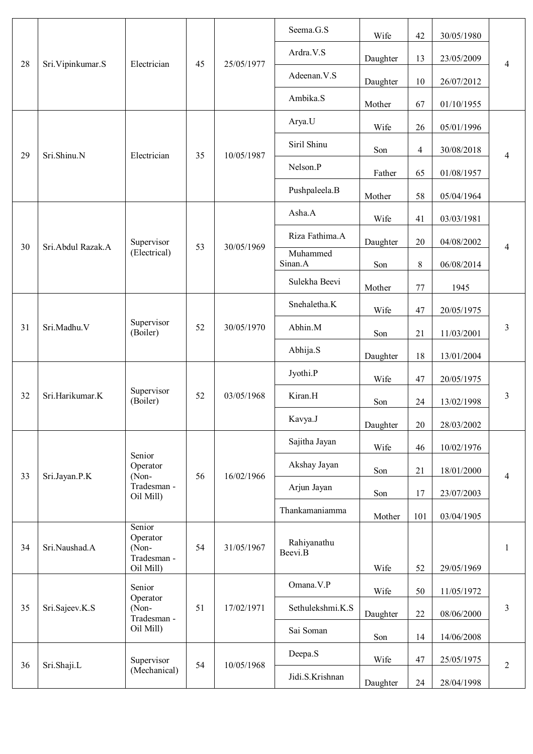|    |                    |                                            |    |            | Seema.G.S              | Wife     | 42             | 30/05/1980 |                |  |
|----|--------------------|--------------------------------------------|----|------------|------------------------|----------|----------------|------------|----------------|--|
| 28 | Sri. Vipinkumar. S | Electrician                                | 45 | 25/05/1977 | Ardra.V.S              | Daughter | 13             | 23/05/2009 | 4              |  |
|    |                    |                                            |    |            | Adeenan.V.S            | Daughter | 10             | 26/07/2012 |                |  |
|    |                    |                                            |    |            | Ambika.S               | Mother   | 67             | 01/10/1955 |                |  |
|    |                    |                                            |    |            | Arya.U                 | Wife     | 26             | 05/01/1996 |                |  |
| 29 | Sri.Shinu.N        | Electrician                                | 35 | 10/05/1987 | Siril Shinu            | Son      | $\overline{4}$ | 30/08/2018 | $\overline{4}$ |  |
|    |                    |                                            |    |            | Nelson.P               | Father   | 65             | 01/08/1957 |                |  |
|    |                    |                                            |    |            | Pushpaleela.B          | Mother   | 58             | 05/04/1964 |                |  |
|    |                    |                                            |    |            | Asha.A                 | Wife     | 41             | 03/03/1981 |                |  |
|    |                    | Supervisor                                 | 53 |            | Riza Fathima.A         | Daughter | 20             | 04/08/2002 |                |  |
| 30 | Sri.Abdul Razak.A  | (Electrical)                               |    | 30/05/1969 | Muhammed<br>Sinan.A    | Son      | $8\,$          | 06/08/2014 | 4              |  |
|    |                    |                                            |    |            | Sulekha Beevi          | Mother   | 77             | 1945       |                |  |
|    |                    | Supervisor<br>(Boiler)                     |    | 30/05/1970 | Snehaletha.K           | Wife     | 47             | 20/05/1975 | 3              |  |
| 31 | Sri.Madhu.V        |                                            | 52 |            | Abhin.M                | Son      | 21             | 11/03/2001 |                |  |
|    |                    |                                            |    |            | Abhija.S               | Daughter | 18             | 13/01/2004 |                |  |
|    | Sri.Harikumar.K    | Supervisor<br>(Boiler)                     |    | 03/05/1968 | Jyothi.P               | Wife     | 47             | 20/05/1975 |                |  |
| 32 |                    |                                            | 52 |            | Kiran.H                | Son      | 24             | 13/02/1998 | $\mathfrak{Z}$ |  |
|    |                    |                                            |    |            | Kavya.J                | Daughter | 20             | 28/03/2002 |                |  |
|    |                    |                                            |    | 16/02/1966 | Sajitha Jayan          | Wife     | 46             | 10/02/1976 |                |  |
|    |                    | Senior<br>Operator                         |    |            | Akshay Jayan           | Son      | 21             | 18/01/2000 |                |  |
| 33 | Sri.Jayan.P.K      | (Non-<br>Tradesman -<br>Oil Mill)          | 56 |            | Arjun Jayan            | Son      | 17             | 23/07/2003 | $\overline{4}$ |  |
|    |                    |                                            |    |            | Thankamaniamma         | Mother   | 101            | 03/04/1905 |                |  |
| 34 | Sri.Naushad.A      | Senior<br>Operator<br>(Non-<br>Tradesman - | 54 | 31/05/1967 | Rahiyanathu<br>Beevi.B |          |                |            | 1              |  |
|    |                    | Oil Mill)<br>Senior                        |    |            | Omana.V.P              | Wife     | 52             | 29/05/1969 |                |  |
| 35 | Sri.Sajeev.K.S     | Operator<br>(Non-                          | 51 | 17/02/1971 | Sethulekshmi.K.S       | Wife     | 50             | 11/05/1972 | 3              |  |
|    |                    | Tradesman -<br>Oil Mill)                   |    |            | Sai Soman              | Daughter | 22             | 08/06/2000 |                |  |
|    |                    |                                            |    |            | Deepa.S                | Son      | 14             | 14/06/2008 |                |  |
| 36 | Sri.Shaji.L        | Supervisor<br>(Mechanical)                 | 54 | 10/05/1968 | Jidi.S.Krishnan        | Wife     | 47             | 25/05/1975 | $\overline{2}$ |  |
|    |                    |                                            |    |            |                        |          | Daughter       | 24         | 28/04/1998     |  |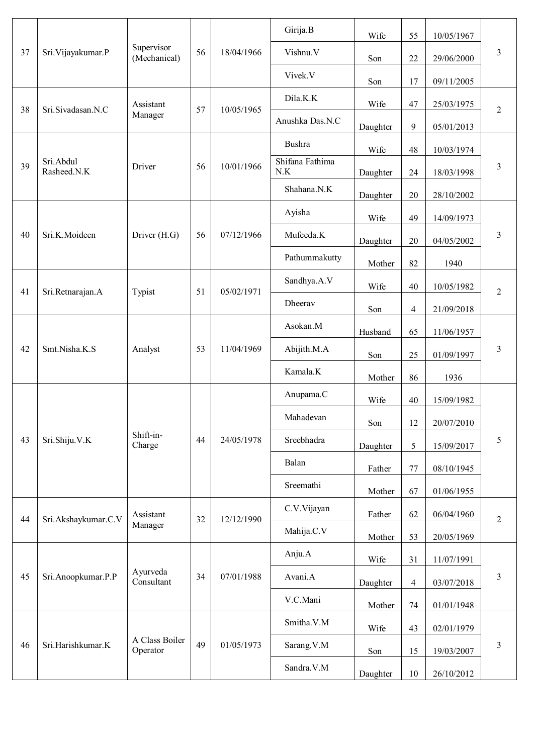|    |                          |                            |    |            | Girija.B               | Wife       | 55             | 10/05/1967 |                |            |  |
|----|--------------------------|----------------------------|----|------------|------------------------|------------|----------------|------------|----------------|------------|--|
| 37 | Sri. Vijayakumar. P      | Supervisor<br>(Mechanical) | 56 | 18/04/1966 | Vishnu.V               | Son        | 22             | 29/06/2000 | $\mathfrak{Z}$ |            |  |
|    |                          |                            |    |            | Vivek.V                | Son        | 17             | 09/11/2005 |                |            |  |
|    |                          | Assistant                  |    |            | Dila.K.K               | Wife       | 47             | 25/03/1975 |                |            |  |
| 38 | Sri.Sivadasan.N.C        | Manager                    | 57 | 10/05/1965 | Anushka Das.N.C        | Daughter   | 9              | 05/01/2013 | $\mathbf{2}$   |            |  |
|    |                          |                            |    |            | Bushra                 | Wife       | 48             | 10/03/1974 |                |            |  |
| 39 | Sri.Abdul<br>Rasheed.N.K | Driver                     | 56 | 10/01/1966 | Shifana Fathima<br>N.K | Daughter   | 24             | 18/03/1998 | 3              |            |  |
|    |                          |                            |    |            | Shahana.N.K            | Daughter   | 20             | 28/10/2002 |                |            |  |
|    |                          |                            |    |            | Ayisha                 | Wife       | 49             | 14/09/1973 |                |            |  |
| 40 | Sri.K.Moideen            | Driver (H.G)               | 56 | 07/12/1966 | Mufeeda.K              | Daughter   | 20             | 04/05/2002 | $\mathfrak{Z}$ |            |  |
|    |                          |                            |    |            | Pathummakutty          | Mother     | 82             | 1940       |                |            |  |
| 41 | Sri.Retnarajan.A         | Typist                     | 51 | 05/02/1971 | Sandhya.A.V            | Wife       | 40             | 10/05/1982 | $\overline{2}$ |            |  |
|    |                          |                            |    |            | Dheerav                | Son        | 4              | 21/09/2018 |                |            |  |
|    |                          |                            |    |            | Asokan.M               | Husband    | 65             | 11/06/1957 |                |            |  |
| 42 | Smt.Nisha.K.S            | Analyst                    | 53 | 11/04/1969 | Abijith.M.A            | Son        | 25             | 01/09/1997 | 3              |            |  |
|    |                          |                            |    |            | Kamala.K               | Mother     | 86             | 1936       |                |            |  |
|    |                          |                            |    |            | Anupama.C              | Wife       | 40             | 15/09/1982 |                |            |  |
|    |                          |                            |    | 24/05/1978 | Mahadevan              | Son        | 12             | 20/07/2010 |                |            |  |
| 43 | Sri.Shiju.V.K            | Shift-in-<br>Charge        | 44 |            |                        | Sreebhadra | Daughter       | 5          | 15/09/2017     | 5          |  |
|    |                          |                            |    |            | Balan                  | Father     | 77             | 08/10/1945 |                |            |  |
|    |                          |                            |    |            | Sreemathi              | Mother     | 67             | 01/06/1955 |                |            |  |
| 44 | Sri.Akshaykumar.C.V      | Assistant                  | 32 | 12/12/1990 | C.V.Vijayan            | Father     | 62             | 06/04/1960 | $\overline{2}$ |            |  |
|    |                          | Manager                    |    |            | Mahija.C.V             | Mother     | 53             | 20/05/1969 |                |            |  |
|    |                          |                            |    |            | Anju.A                 | Wife       | 31             | 11/07/1991 |                |            |  |
| 45 | Sri.Anoopkumar.P.P       | Ayurveda<br>Consultant     | 34 | 07/01/1988 | Avani.A                | Daughter   | $\overline{4}$ | 03/07/2018 | $\mathfrak{Z}$ |            |  |
|    |                          |                            |    |            | V.C.Mani               | Mother     | 74             | 01/01/1948 |                |            |  |
|    |                          |                            |    |            | Smitha.V.M             | Wife       | 43             | 02/01/1979 | $\mathfrak{Z}$ |            |  |
| 46 | Sri.Harishkumar.K        | A Class Boiler<br>Operator | 49 | 01/05/1973 | Sarang.V.M             | Son        | 15             | 19/03/2007 |                |            |  |
|    |                          |                            |    |            |                        |            | Sandra.V.M     | Daughter   | 10             | 26/10/2012 |  |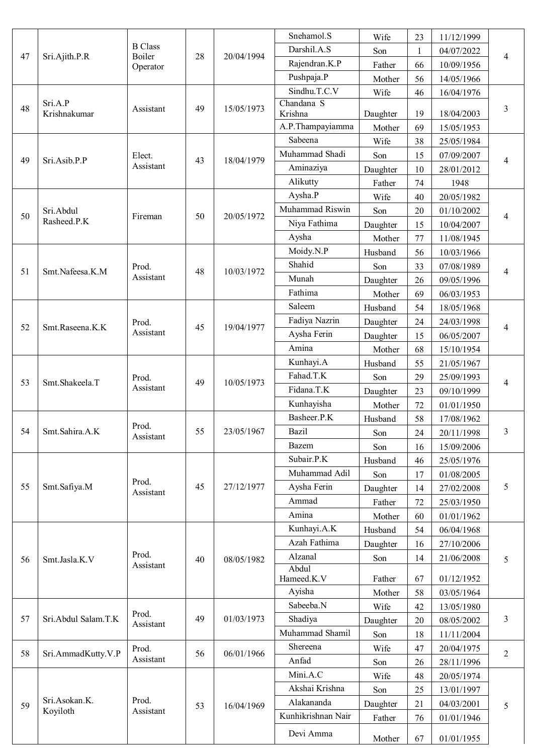|    |                         |                    |    |            | Snehamol.S                       | Wife     | 23 | 11/12/1999 |                |
|----|-------------------------|--------------------|----|------------|----------------------------------|----------|----|------------|----------------|
|    |                         | <b>B</b> Class     |    |            | Darshil.A.S                      | Son      | 1  | 04/07/2022 |                |
| 47 | Sri.Ajith.P.R           | Boiler<br>Operator | 28 | 20/04/1994 | Rajendran.K.P                    | Father   | 66 | 10/09/1956 | 4              |
|    |                         |                    |    |            | Pushpaja.P                       | Mother   | 56 | 14/05/1966 |                |
|    |                         |                    |    |            | Sindhu.T.C.V                     | Wife     | 46 | 16/04/1976 |                |
| 48 | Sri.A.P<br>Krishnakumar | Assistant          | 49 | 15/05/1973 | Chandana <sub>S</sub><br>Krishna | Daughter | 19 | 18/04/2003 | 3              |
|    |                         |                    |    |            | A.P.Thampayiamma                 | Mother   | 69 | 15/05/1953 |                |
|    |                         |                    |    |            | Sabeena                          | Wife     | 38 | 25/05/1984 |                |
| 49 | Sri.Asib.P.P            | Elect.             | 43 | 18/04/1979 | Muhammad Shadi                   | Son      | 15 | 07/09/2007 | 4              |
|    |                         | Assistant          |    |            | Aminaziya                        | Daughter | 10 | 28/01/2012 |                |
|    |                         |                    |    |            | Alikutty                         | Father   | 74 | 1948       |                |
|    |                         |                    |    |            | Aysha.P                          | Wife     | 40 | 20/05/1982 |                |
| 50 | Sri.Abdul               |                    | 50 | 20/05/1972 | Muhammad Riswin                  | Son      | 20 | 01/10/2002 |                |
|    | Rasheed.P.K             | Fireman            |    |            | Niya Fathima                     | Daughter | 15 | 10/04/2007 | 4              |
|    |                         |                    |    |            | Aysha                            | Mother   | 77 | 11/08/1945 |                |
|    |                         |                    |    |            | Moidy.N.P                        | Husband  | 56 | 10/03/1966 |                |
|    |                         | Prod.              |    |            | Shahid                           | Son      | 33 | 07/08/1989 |                |
| 51 | Smt.Nafeesa.K.M         | Assistant          | 48 | 10/03/1972 | Munah                            | Daughter | 26 | 09/05/1996 | 4              |
|    |                         |                    |    |            | Fathima                          | Mother   | 69 | 06/03/1953 |                |
|    |                         |                    |    |            | Saleem                           | Husband  | 54 | 18/05/1968 |                |
|    |                         | Prod.              |    | 19/04/1977 | Fadiya Nazrin                    | Daughter | 24 | 24/03/1998 |                |
| 52 | Smt.Raseena.K.K         | Assistant          | 45 |            | Aysha Ferin                      | Daughter | 15 | 06/05/2007 | 4              |
|    |                         |                    |    |            | Amina                            | Mother   | 68 | 15/10/1954 |                |
|    |                         |                    |    |            | Kunhayi.A                        | Husband  | 55 | 21/05/1967 |                |
|    | Smt.Shakeela.T          | Prod.              |    |            | Fahad.T.K                        | Son      | 29 | 25/09/1993 |                |
| 53 |                         | Assistant          | 49 | 10/05/1973 | Fidana.T.K                       | Daughter | 23 | 09/10/1999 | 4              |
|    |                         |                    |    |            | Kunhayisha                       | Mother   | 72 | 01/01/1950 |                |
|    |                         |                    |    |            | Basheer.P.K                      | Husband  | 58 | 17/08/1962 |                |
| 54 | Smt.Sahira.A.K          | Prod.              | 55 | 23/05/1967 | Bazil                            | Son      | 24 | 20/11/1998 | 3              |
|    |                         | Assistant          |    |            | <b>Bazem</b>                     | Son      | 16 | 15/09/2006 |                |
|    |                         |                    |    |            | Subair.P.K                       | Husband  | 46 | 25/05/1976 |                |
|    |                         |                    |    |            | Muhammad Adil                    | Son      | 17 | 01/08/2005 | 5              |
| 55 | Smt.Safiya.M            | Prod.              | 45 | 27/12/1977 | Aysha Ferin                      | Daughter | 14 | 27/02/2008 |                |
|    |                         | Assistant          |    |            | Ammad                            | Father   | 72 | 25/03/1950 |                |
|    |                         |                    |    |            | Amina                            | Mother   | 60 | 01/01/1962 |                |
|    |                         |                    |    |            | Kunhayi.A.K                      | Husband  | 54 | 06/04/1968 |                |
|    |                         |                    |    |            | Azah Fathima                     | Daughter | 16 | 27/10/2006 |                |
|    |                         | Prod.              |    |            | Alzanal                          | Son      | 14 | 21/06/2008 |                |
| 56 | Smt.Jasla.K.V           | Assistant          | 40 | 08/05/1982 | Abdul                            |          |    |            | 5              |
|    |                         |                    |    |            | Hameed.K.V                       | Father   | 67 | 01/12/1952 |                |
|    |                         |                    |    |            | Ayisha                           | Mother   | 58 | 03/05/1964 |                |
|    |                         |                    |    |            | Sabeeba.N                        | Wife     | 42 | 13/05/1980 |                |
| 57 | Sri.Abdul Salam.T.K     | Prod.<br>Assistant | 49 | 01/03/1973 | Shadiya                          | Daughter | 20 | 08/05/2002 | 3              |
|    |                         |                    |    |            | Muhammad Shamil                  | Son      | 18 | 11/11/2004 |                |
| 58 | Sri.AmmadKutty.V.P      | Prod.              | 56 | 06/01/1966 | Shereena                         | Wife     | 47 | 20/04/1975 | $\overline{2}$ |
|    |                         | Assistant          |    |            | Anfad                            | Son      | 26 | 28/11/1996 |                |
|    |                         |                    |    |            | Mini.A.C                         | Wife     | 48 | 20/05/1974 |                |
|    |                         |                    |    |            | Akshai Krishna                   | Son      | 25 | 13/01/1997 | 5              |
| 59 | Sri.Asokan.K.           | Prod.              | 53 | 16/04/1969 | Alakananda                       | Daughter | 21 | 04/03/2001 |                |
|    | Koyiloth                | Assistant          |    |            | Kunhikrishnan Nair               | Father   | 76 | 01/01/1946 |                |
|    |                         |                    |    |            | Devi Amma                        |          |    |            |                |
|    |                         |                    |    |            |                                  | Mother   | 67 | 01/01/1955 |                |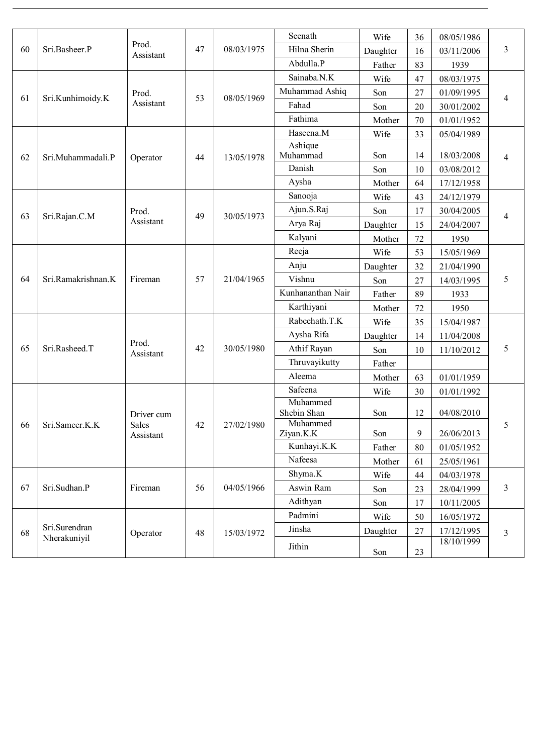| 60 | Sri.Basheer.P                 | Prod.<br>Assistant               |    | 08/03/1975 | Seenath                 | Wife     | 36             | 08/05/1986 | 3 |
|----|-------------------------------|----------------------------------|----|------------|-------------------------|----------|----------------|------------|---|
|    |                               |                                  | 47 |            | Hilna Sherin            | Daughter | 16             | 03/11/2006 |   |
|    |                               |                                  |    |            | Abdulla.P               | Father   | 83             | 1939       |   |
| 61 | Sri.Kunhimoidy.K              | Prod.<br>Assistant               | 53 | 08/05/1969 | Sainaba.N.K             | Wife     | 47             | 08/03/1975 | 4 |
|    |                               |                                  |    |            | Muhammad Ashiq          | Son      | 27             | 01/09/1995 |   |
|    |                               |                                  |    |            | Fahad                   | Son      | 20             | 30/01/2002 |   |
|    |                               |                                  |    |            | Fathima                 | Mother   | 70             | 01/01/1952 |   |
|    | Sri.Muhammadali.P             | Operator                         | 44 | 13/05/1978 | Haseena.M               | Wife     | 33             | 05/04/1989 | 4 |
| 62 |                               |                                  |    |            | Ashique<br>Muhammad     | Son      | 14             | 18/03/2008 |   |
|    |                               |                                  |    |            | Danish                  | Son      | 10             | 03/08/2012 |   |
|    |                               |                                  |    |            | Aysha                   | Mother   | 64             | 17/12/1958 |   |
| 63 | Sri.Rajan.C.M                 | Prod.<br>Assistant               | 49 | 30/05/1973 | Sanooja                 | Wife     | 43             | 24/12/1979 | 4 |
|    |                               |                                  |    |            | Ajun.S.Raj              | Son      | 17             | 30/04/2005 |   |
|    |                               |                                  |    |            | Arya Raj                | Daughter | 15             | 24/04/2007 |   |
|    |                               |                                  |    |            | Kalyani                 | Mother   | 72             | 1950       |   |
|    | Sri.Ramakrishnan.K            | Fireman                          | 57 | 21/04/1965 | Reeja                   | Wife     | 53             | 15/05/1969 | 5 |
|    |                               |                                  |    |            | Anju                    | Daughter | 32             | 21/04/1990 |   |
| 64 |                               |                                  |    |            | Vishnu                  | Son      | 27             | 14/03/1995 |   |
|    |                               |                                  |    |            | Kunhananthan Nair       | Father   | 89             | 1933       |   |
|    |                               |                                  |    |            | Karthiyani              | Mother   | 72             | 1950       |   |
|    | Sri.Rasheed.T                 | Prod.<br>Assistant               | 42 | 30/05/1980 | Rabeehath.T.K           | Wife     | 35             | 15/04/1987 | 5 |
| 65 |                               |                                  |    |            | Aysha Rifa              | Daughter | 14             | 11/04/2008 |   |
|    |                               |                                  |    |            | Athif Rayan             | Son      | 10             | 11/10/2012 |   |
|    |                               |                                  |    |            | Thruvayikutty           | Father   |                |            |   |
|    |                               |                                  |    |            | Aleema                  | Mother   | 63             | 01/01/1959 |   |
|    | Sri.Sameer.K.K                | Driver cum<br>Sales<br>Assistant | 42 | 27/02/1980 | Safeena                 | Wife     | 30             | 01/01/1992 | 5 |
| 66 |                               |                                  |    |            | Muhammed<br>Shebin Shan | Son      | 12             | 04/08/2010 |   |
|    |                               |                                  |    |            | Muhammed<br>Ziyan.K.K   | Son      | $\overline{9}$ | 26/06/2013 |   |
|    |                               |                                  |    |            | Kunhayi.K.K             | Father   | 80             | 01/05/1952 |   |
|    |                               |                                  |    |            | Nafeesa                 | Mother   | 61             | 25/05/1961 |   |
| 67 | Sri.Sudhan.P                  | Fireman                          | 56 | 04/05/1966 | Shyma.K                 | Wife     | 44             | 04/03/1978 | 3 |
|    |                               |                                  |    |            | Aswin Ram               | Son      | 23             | 28/04/1999 |   |
|    |                               |                                  |    |            | Adithyan                | Son      | 17             | 10/11/2005 |   |
| 68 | Sri.Surendran<br>Nherakuniyil | Operator                         | 48 | 15/03/1972 | Padmini                 | Wife     | 50             | 16/05/1972 | 3 |
|    |                               |                                  |    |            | Jinsha                  | Daughter | $27\,$         | 17/12/1995 |   |
|    |                               |                                  |    |            | Jithin                  | Son      | $23\,$         | 18/10/1999 |   |
|    |                               |                                  |    |            |                         |          |                |            |   |